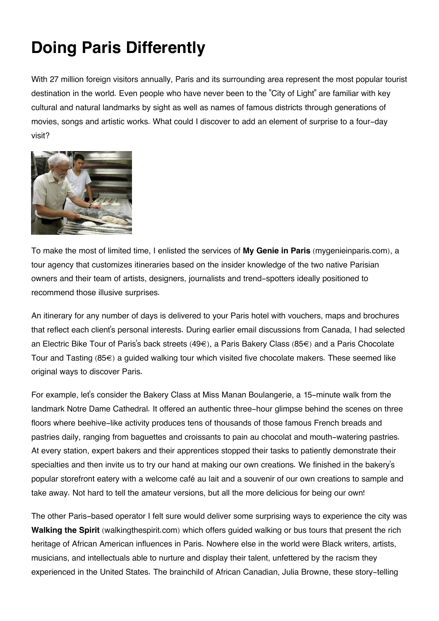## **Doing Paris Differently**

With 27 million foreign visitors annually, Paris and its surrounding area represent the most popular tourist destination in the world. Even people who have never been to the "City of Light" are familiar with key cultural and natural landmarks by sight as well as names of famous districts through generations of movies, songs and artistic works. What could I discover to add an element of surprise to a four-day visit?



To make the most of limited time, I enlisted the services of **My Genie in Paris** (mygenieinparis.com), a tour agency that customizes itineraries based on the insider knowledge of the two native Parisian owners and their team of artists, designers, journalists and trend-spotters ideally positioned to recommend those illusive surprises.

An itinerary for any number of days is delivered to your Paris hotel with vouchers, maps and brochures that reflect each client's personal interests. During earlier email discussions from Canada, I had selected an Electric Bike Tour of Paris's back streets (49€), a Paris Bakery Class (85€) and a Paris Chocolate Tour and Tasting (85€) a guided walking tour which visited five chocolate makers. These seemed like original ways to discover Paris.

For example, let's consider the Bakery Class at Miss Manan Boulangerie, a 15-minute walk from the landmark Notre Dame Cathedral. It offered an authentic three-hour glimpse behind the scenes on three floors where beehive-like activity produces tens of thousands of those famous French breads and pastries daily, ranging from baguettes and croissants to pain au chocolat and mouth-watering pastries. At every station, expert bakers and their apprentices stopped their tasks to patiently demonstrate their specialties and then invite us to try our hand at making our own creations. We finished in the bakery's popular storefront eatery with a welcome café au lait and a souvenir of our own creations to sample and take away. Not hard to tell the amateur versions, but all the more delicious for being our own!

The other Paris-based operator I felt sure would deliver some surprising ways to experience the city was **Walking the Spirit** (walkingthespirit.com) which offers guided walking or bus tours that present the rich heritage of African American influences in Paris. Nowhere else in the world were Black writers, artists, musicians, and intellectuals able to nurture and display their talent, unfettered by the racism they experienced in the United States. The brainchild of African Canadian, Julia Browne, these story-telling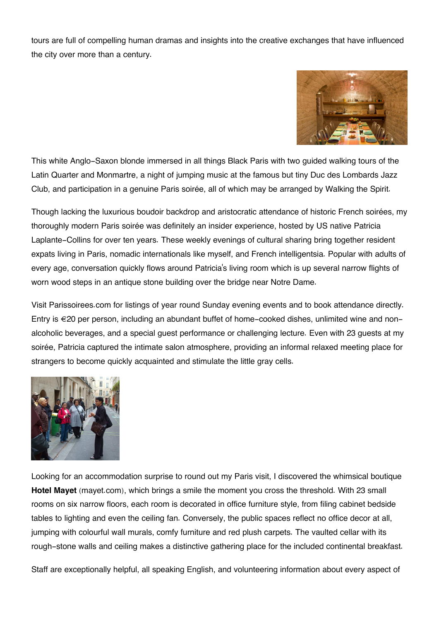tours are full of compelling human dramas and insights into the creative exchanges that have influenced the city over more than a century.



This white Anglo-Saxon blonde immersed in all things Black Paris with two guided walking tours of the Latin Quarter and Monmartre, a night of jumping music at the famous but tiny Duc des Lombards Jazz Club, and participation in a genuine Paris soirée, all of which may be arranged by Walking the Spirit.

Though lacking the luxurious boudoir backdrop and aristocratic attendance of historic French soirées, my thoroughly modern Paris soirée was definitely an insider experience, hosted by US native Patricia Laplante-Collins for over ten years. These weekly evenings of cultural sharing bring together resident expats living in Paris, nomadic internationals like myself, and French intelligentsia. Popular with adults of every age, conversation quickly flows around Patricia's living room which is up several narrow flights of worn wood steps in an antique stone building over the bridge near Notre Dame.

Visit Parissoirees.com for listings of year round Sunday evening events and to book attendance directly. Entry is €20 per person, including an abundant buffet of home-cooked dishes, unlimited wine and nonalcoholic beverages, and a special guest performance or challenging lecture. Even with 23 guests at my soirée, Patricia captured the intimate salon atmosphere, providing an informal relaxed meeting place for strangers to become quickly acquainted and stimulate the little gray cells.



Looking for an accommodation surprise to round out my Paris visit, I discovered the whimsical boutique **Hotel Mayet** (mayet.com), which brings a smile the moment you cross the threshold. With 23 small rooms on six narrow floors, each room is decorated in office furniture style, from filing cabinet bedside tables to lighting and even the ceiling fan. Conversely, the public spaces reflect no office decor at all, jumping with colourful wall murals, comfy furniture and red plush carpets. The vaulted cellar with its rough-stone walls and ceiling makes a distinctive gathering place for the included continental breakfast.

Staff are exceptionally helpful, all speaking English, and volunteering information about every aspect of